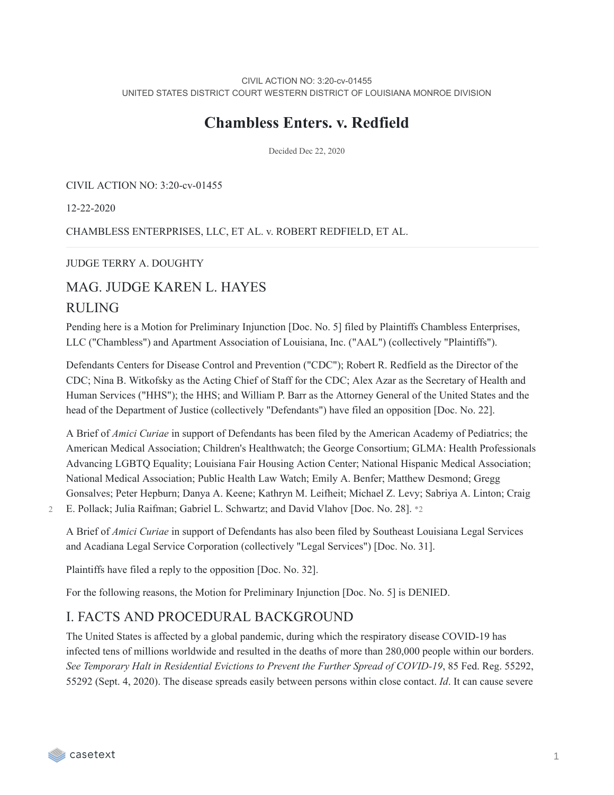CIVIL ACTION NO: 3:20-cv-01455 UNITED STATES DISTRICT COURT WESTERN DISTRICT OF LOUISIANA MONROE DIVISION

## **Chambless Enters. v. Redfield**

Decided Dec 22, 2020

CIVIL ACTION NO: 3:20-cv-01455

12-22-2020

CHAMBLESS ENTERPRISES, LLC, ET AL. v. ROBERT REDFIELD, ET AL.

#### JUDGE TERRY A. DOUGHTY

## MAG. JUDGE KAREN L. HAYES

## RULING

Pending here is a Motion for Preliminary Injunction [Doc. No. 5] filed by Plaintiffs Chambless Enterprises, LLC ("Chambless") and Apartment Association of Louisiana, Inc. ("AAL") (collectively "Plaintiffs").

Defendants Centers for Disease Control and Prevention ("CDC"); Robert R. Redfield as the Director of the CDC; Nina B. Witkofsky as the Acting Chief of Staff for the CDC; Alex Azar as the Secretary of Health and Human Services ("HHS"); the HHS; and William P. Barr as the Attorney General of the United States and the head of the Department of Justice (collectively "Defendants") have filed an opposition [Doc. No. 22].

A Brief of *Amici Curiae* in support of Defendants has been filed by the American Academy of Pediatrics; the American Medical Association; Children's Healthwatch; the George Consortium; GLMA: Health Professionals Advancing LGBTQ Equality; Louisiana Fair Housing Action Center; National Hispanic Medical Association; National Medical Association; Public Health Law Watch; Emily A. Benfer; Matthew Desmond; Gregg Gonsalves; Peter Hepburn; Danya A. Keene; Kathryn M. Leifheit; Michael Z. Levy; Sabriya A. Linton; Craig

2 E. Pollack; Julia Raifman; Gabriel L. Schwartz; and David Vlahov [Doc. No. 28]. \*2

A Brief of *Amici Curiae* in support of Defendants has also been filed by Southeast Louisiana Legal Services and Acadiana Legal Service Corporation (collectively "Legal Services") [Doc. No. 31].

Plaintiffs have filed a reply to the opposition [Doc. No. 32].

For the following reasons, the Motion for Preliminary Injunction [Doc. No. 5] is DENIED.

## I. FACTS AND PROCEDURAL BACKGROUND

The United States is affected by a global pandemic, during which the respiratory disease COVID-19 has infected tens of millions worldwide and resulted in the deaths of more than 280,000 people within our borders. *See Temporary Halt in Residential Evictions to Prevent the Further Spread of COVID-19*, 85 Fed. Reg. 55292, 55292 (Sept. 4, 2020). The disease spreads easily between persons within close contact. *Id*. It can cause severe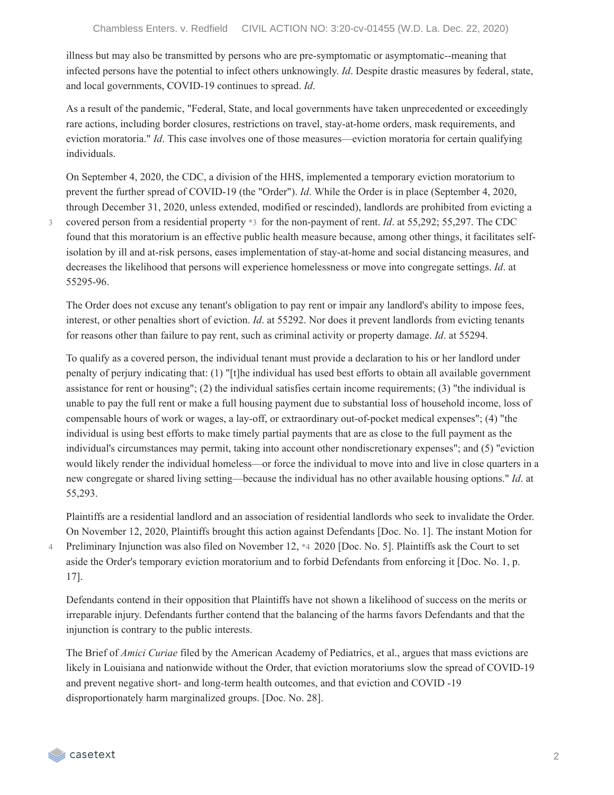illness but may also be transmitted by persons who are pre-symptomatic or asymptomatic--meaning that infected persons have the potential to infect others unknowingly. *Id*. Despite drastic measures by federal, state, and local governments, COVID-19 continues to spread. *Id*.

As a result of the pandemic, "Federal, State, and local governments have taken unprecedented or exceedingly rare actions, including border closures, restrictions on travel, stay-at-home orders, mask requirements, and eviction moratoria." *Id*. This case involves one of those measures—eviction moratoria for certain qualifying individuals.

On September 4, 2020, the CDC, a division of the HHS, implemented a temporary eviction moratorium to prevent the further spread of COVID-19 (the "Order"). *Id*. While the Order is in place (September 4, 2020, through December 31, 2020, unless extended, modified or rescinded), landlords are prohibited from evicting a covered person from a residential property \*3 for the non-payment of rent. *Id*. at 55,292; 55,297. The CDC found that this moratorium is an effective public health measure because, among other things, it facilitates selfisolation by ill and at-risk persons, eases implementation of stay-at-home and social distancing measures, and decreases the likelihood that persons will experience homelessness or move into congregate settings. *Id*. at 55295-96.

The Order does not excuse any tenant's obligation to pay rent or impair any landlord's ability to impose fees, interest, or other penalties short of eviction. *Id*. at 55292. Nor does it prevent landlords from evicting tenants for reasons other than failure to pay rent, such as criminal activity or property damage. *Id*. at 55294.

To qualify as a covered person, the individual tenant must provide a declaration to his or her landlord under penalty of perjury indicating that: (1) "[t]he individual has used best efforts to obtain all available government assistance for rent or housing"; (2) the individual satisfies certain income requirements; (3) "the individual is unable to pay the full rent or make a full housing payment due to substantial loss of household income, loss of compensable hours of work or wages, a lay-off, or extraordinary out-of-pocket medical expenses"; (4) "the individual is using best efforts to make timely partial payments that are as close to the full payment as the individual's circumstances may permit, taking into account other nondiscretionary expenses"; and (5) "eviction would likely render the individual homeless—or force the individual to move into and live in close quarters in a new congregate or shared living setting—because the individual has no other available housing options." *Id*. at 55,293.

Plaintiffs are a residential landlord and an association of residential landlords who seek to invalidate the Order. On November 12, 2020, Plaintiffs brought this action against Defendants [Doc. No. 1]. The instant Motion for Preliminary Injunction was also filed on November 12, \*4 2020 [Doc. No. 5]. Plaintiffs ask the Court to set aside the Order's temporary eviction moratorium and to forbid Defendants from enforcing it [Doc. No. 1, p. 17].

Defendants contend in their opposition that Plaintiffs have not shown a likelihood of success on the merits or irreparable injury. Defendants further contend that the balancing of the harms favors Defendants and that the injunction is contrary to the public interests.

The Brief of *Amici Curiae* filed by the American Academy of Pediatrics, et al., argues that mass evictions are likely in Louisiana and nationwide without the Order, that eviction moratoriums slow the spread of COVID-19 and prevent negative short- and long-term health outcomes, and that eviction and COVID -19 disproportionately harm marginalized groups. [Doc. No. 28].

4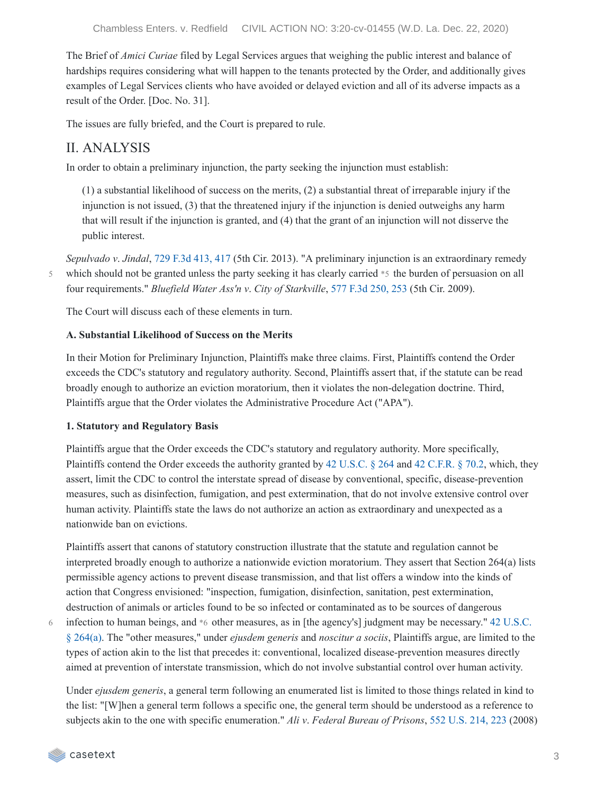The Brief of *Amici Curiae* filed by Legal Services argues that weighing the public interest and balance of hardships requires considering what will happen to the tenants protected by the Order, and additionally gives examples of Legal Services clients who have avoided or delayed eviction and all of its adverse impacts as a result of the Order. [Doc. No. 31].

The issues are fully briefed, and the Court is prepared to rule.

## II. ANALYSIS

In order to obtain a preliminary injunction, the party seeking the injunction must establish:

(1) a substantial likelihood of success on the merits, (2) a substantial threat of irreparable injury if the injunction is not issued, (3) that the threatened injury if the injunction is denied outweighs any harm that will result if the injunction is granted, and (4) that the grant of an injunction will not disserve the public interest.

*Sepulvado v*. *Jindal*, 729 F.3d [413,](https://casetext.com/case/sepulvado-v-jindal#p417) 417 (5th Cir. 2013). "A preliminary injunction is an extraordinary remedy which should not be granted unless the party seeking it has clearly carried \*5 the burden of persuasion on all four requirements." *Bluefield Water Ass'n v*. *City of Starkville*, 577 F.3d [250,](https://casetext.com/case/bluefield-water-assn-v-city-of-starkville#p253) 253 (5th Cir. 2009). 5

The Court will discuss each of these elements in turn.

#### **A. Substantial Likelihood of Success on the Merits**

In their Motion for Preliminary Injunction, Plaintiffs make three claims. First, Plaintiffs contend the Order exceeds the CDC's statutory and regulatory authority. Second, Plaintiffs assert that, if the statute can be read broadly enough to authorize an eviction moratorium, then it violates the non-delegation doctrine. Third, Plaintiffs argue that the Order violates the Administrative Procedure Act ("APA").

#### **1. Statutory and Regulatory Basis**

Plaintiffs argue that the Order exceeds the CDC's statutory and regulatory authority. More specifically, Plaintiffs contend the Order exceeds the authority granted by 42 [U.S.C.](https://casetext.com/statute/united-states-code/title-42-the-public-health-and-welfare/chapter-6a-public-health-service/subchapter-ii-general-powers-and-duties/part-g-quarantine-and-inspection/section-264-regulations-to-control-communicable-diseases) § 264 and 42 [C.F.R.](https://casetext.com/regulation/code-of-federal-regulations/title-42-public-health/chapter-i-public-health-service-department-of-health-and-human-services/subchapter-f-quarantine-inspection-licensing/part-70-interstate-quarantine/702-measures-in-the-event-of-inadequate-local-control) § 70.2, which, they assert, limit the CDC to control the interstate spread of disease by conventional, specific, disease-prevention measures, such as disinfection, fumigation, and pest extermination, that do not involve extensive control over human activity. Plaintiffs state the laws do not authorize an action as extraordinary and unexpected as a nationwide ban on evictions.

Plaintiffs assert that canons of statutory construction illustrate that the statute and regulation cannot be interpreted broadly enough to authorize a nationwide eviction moratorium. They assert that Section 264(a) lists permissible agency actions to prevent disease transmission, and that list offers a window into the kinds of action that Congress envisioned: "inspection, fumigation, disinfection, sanitation, pest extermination, destruction of animals or articles found to be so infected or contaminated as to be sources of dangerous

6

infection to human beings, and \*6 other measures, as in [the agency's] judgment may be [necessary."](https://casetext.com/statute/united-states-code/title-42-the-public-health-and-welfare/chapter-6a-public-health-service/subchapter-ii-general-powers-and-duties/part-g-quarantine-and-inspection/section-264-regulations-to-control-communicable-diseases) 42 U.S.C. § 264(a). The "other measures," under *ejusdem generis* and *noscitur a sociis*, Plaintiffs argue, are limited to the types of action akin to the list that precedes it: conventional, localized disease-prevention measures directly aimed at prevention of interstate transmission, which do not involve substantial control over human activity.

Under *ejusdem generis*, a general term following an enumerated list is limited to those things related in kind to the list: "[W]hen a general term follows a specific one, the general term should be understood as a reference to subjects akin to the one with specific enumeration." *Ali v*. *Federal Bureau of Prisons*, 552 [U.S.](https://casetext.com/case/ali-v-fed-bureau-of-prisons#p223) 214, 223 (2008)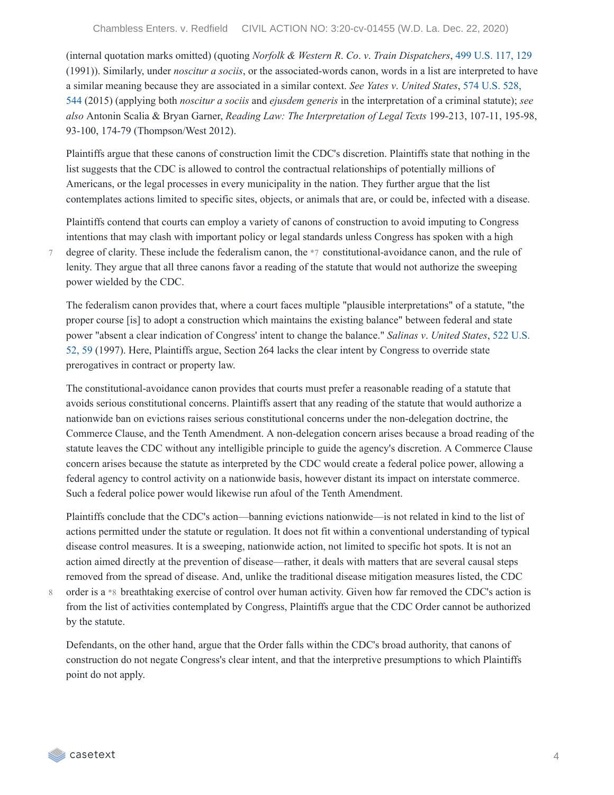(internal quotation marks omitted) (quoting *Norfolk & Western R*. *Co*. *v*. *Train Dispatchers*, 499 [U.S.](https://casetext.com/case/norfolk-western-r-co-v-train-dispatchers#p129) 117, 129 (1991)). Similarly, under *noscitur a sociis*, or the associated-words canon, words in a list are interpreted to have a similar meaning because they are associated in a similar context. *See Yates v*. *United States*, 574 U.S. 528, 544 (2015) (applying both *noscitur a sociis* and *ejusdem generis* in the [interpretation](https://casetext.com/case/yates-v-united-states-24#p544) of a criminal statute); *see also* Antonin Scalia & Bryan Garner, *Reading Law: The Interpretation of Legal Texts* 199-213, 107-11, 195-98, 93-100, 174-79 (Thompson/West 2012).

Plaintiffs argue that these canons of construction limit the CDC's discretion. Plaintiffs state that nothing in the list suggests that the CDC is allowed to control the contractual relationships of potentially millions of Americans, or the legal processes in every municipality in the nation. They further argue that the list contemplates actions limited to specific sites, objects, or animals that are, or could be, infected with a disease.

Plaintiffs contend that courts can employ a variety of canons of construction to avoid imputing to Congress intentions that may clash with important policy or legal standards unless Congress has spoken with a high degree of clarity. These include the federalism canon, the \*7 constitutional-avoidance canon, and the rule of lenity. They argue that all three canons favor a reading of the statute that would not authorize the sweeping power wielded by the CDC.

The federalism canon provides that, where a court faces multiple "plausible interpretations" of a statute, "the proper course [is] to adopt a construction which maintains the existing balance" between federal and state power "absent a clear [indication](https://casetext.com/case/salinas-v-us#p59) of Congress' intent to change the balance." *Salinas v*. *United States*, 522 U.S. 52, 59 (1997). Here, Plaintiffs argue, Section 264 lacks the clear intent by Congress to override state prerogatives in contract or property law.

The constitutional-avoidance canon provides that courts must prefer a reasonable reading of a statute that avoids serious constitutional concerns. Plaintiffs assert that any reading of the statute that would authorize a nationwide ban on evictions raises serious constitutional concerns under the non-delegation doctrine, the Commerce Clause, and the Tenth Amendment. A non-delegation concern arises because a broad reading of the statute leaves the CDC without any intelligible principle to guide the agency's discretion. A Commerce Clause concern arises because the statute as interpreted by the CDC would create a federal police power, allowing a federal agency to control activity on a nationwide basis, however distant its impact on interstate commerce. Such a federal police power would likewise run afoul of the Tenth Amendment.

Plaintiffs conclude that the CDC's action—banning evictions nationwide—is not related in kind to the list of actions permitted under the statute or regulation. It does not fit within a conventional understanding of typical disease control measures. It is a sweeping, nationwide action, not limited to specific hot spots. It is not an action aimed directly at the prevention of disease—rather, it deals with matters that are several causal steps removed from the spread of disease. And, unlike the traditional disease mitigation measures listed, the CDC

order is a \*8 breathtaking exercise of control over human activity. Given how far removed the CDC's action is from the list of activities contemplated by Congress, Plaintiffs argue that the CDC Order cannot be authorized by the statute. 8

Defendants, on the other hand, argue that the Order falls within the CDC's broad authority, that canons of construction do not negate Congress's clear intent, and that the interpretive presumptions to which Plaintiffs point do not apply.



7

casetext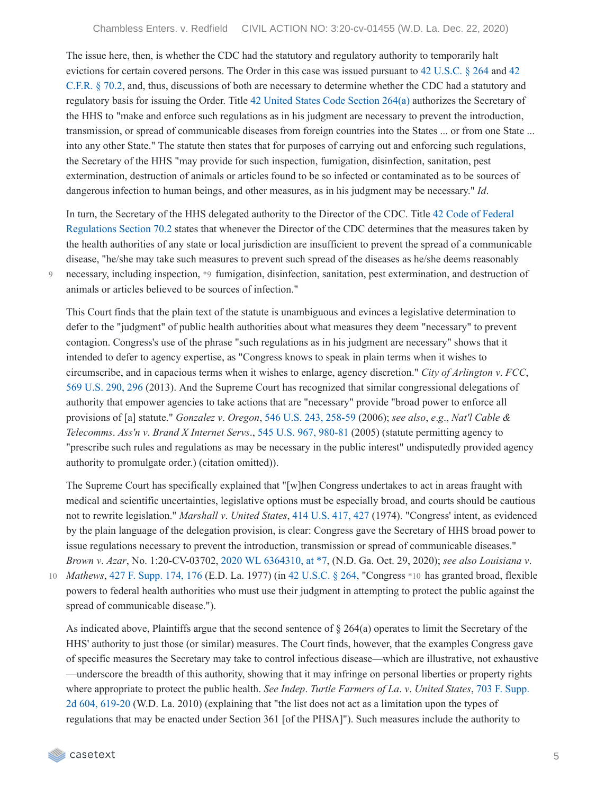The issue here, then, is whether the CDC had the statutory and regulatory authority to temporarily halt evictions for certain covered persons. The Order in this case was issued pursuant to 42 [U.S.C.](https://casetext.com/statute/united-states-code/title-42-the-public-health-and-welfare/chapter-6a-public-health-service/subchapter-ii-general-powers-and-duties/part-g-quarantine-and-inspection/section-264-regulations-to-control-communicable-diseases) § 264 and 42 C.F.R. § 70.2, and, thus, [discussions](https://casetext.com/regulation/code-of-federal-regulations/title-42-public-health/chapter-i-public-health-service-department-of-health-and-human-services/subchapter-f-quarantine-inspection-licensing/part-70-interstate-quarantine/702-measures-in-the-event-of-inadequate-local-control) of both are necessary to determine whether the CDC had a statutory and regulatory basis for issuing the Order. Title 42 United States Code [Section](https://casetext.com/statute/united-states-code/title-42-the-public-health-and-welfare/chapter-6a-public-health-service/subchapter-ii-general-powers-and-duties/part-g-quarantine-and-inspection/section-264-regulations-to-control-communicable-diseases) 264(a) authorizes the Secretary of the HHS to "make and enforce such regulations as in his judgment are necessary to prevent the introduction, transmission, or spread of communicable diseases from foreign countries into the States ... or from one State ... into any other State." The statute then states that for purposes of carrying out and enforcing such regulations, the Secretary of the HHS "may provide for such inspection, fumigation, disinfection, sanitation, pest extermination, destruction of animals or articles found to be so infected or contaminated as to be sources of dangerous infection to human beings, and other measures, as in his judgment may be necessary." *Id*.

In turn, the Secretary of the HHS delegated authority to the Director of the CDC. Title 42 Code of Federal [Regulations](https://casetext.com/regulation/code-of-federal-regulations/title-42-public-health/chapter-i-public-health-service-department-of-health-and-human-services/subchapter-f-quarantine-inspection-licensing/part-70-interstate-quarantine/702-measures-in-the-event-of-inadequate-local-control) Section 70.2 states that whenever the Director of the CDC determines that the measures taken by the health authorities of any state or local jurisdiction are insufficient to prevent the spread of a communicable disease, "he/she may take such measures to prevent such spread of the diseases as he/she deems reasonably necessary, including inspection, \*9 fumigation, disinfection, sanitation, pest extermination, and destruction of animals or articles believed to be sources of infection."

This Court finds that the plain text of the statute is unambiguous and evinces a legislative determination to defer to the "judgment" of public health authorities about what measures they deem "necessary" to prevent contagion. Congress's use of the phrase "such regulations as in his judgment are necessary" shows that it intended to defer to agency expertise, as "Congress knows to speak in plain terms when it wishes to circumscribe, and in capacious terms when it wishes to enlarge, agency discretion." *City of Arlington v*. *FCC*, 569 [U.S.](https://casetext.com/case/city-of-arlington-v-fed-commcns-commn-8#p296) 290, 296 (2013). And the Supreme Court has recognized that similar congressional delegations of authority that empower agencies to take actions that are "necessary" provide "broad power to enforce all provisions of [a] statute." *Gonzalez v*. *Oregon*, 546 U.S. 243, [258-59](https://casetext.com/case/gonzales-v-oregon-4#p258) (2006); *see also*, *e*.*g*., *Nat'l Cable & Telecomms*. *Ass'n v*. *Brand X Internet Servs*., 545 U.S. 967, [980-81](https://casetext.com/case/national-cable-telecommunications-assn-v-brand-x-internet-services-4#p980) (2005) (statute permitting agency to "prescribe such rules and regulations as may be necessary in the public interest" undisputedly provided agency authority to promulgate order.) (citation omitted)).

The Supreme Court has specifically explained that "[w]hen Congress undertakes to act in areas fraught with medical and scientific uncertainties, legislative options must be especially broad, and courts should be cautious not to rewrite legislation." *Marshall v*. *United States*, 414 [U.S.](https://casetext.com/case/marshall-v-united-states-9#p427) 417, 427 (1974). "Congress' intent, as evidenced by the plain language of the delegation provision, is clear: Congress gave the Secretary of HHS broad power to issue regulations necessary to prevent the introduction, transmission or spread of communicable diseases." *Brown v*. *Azar*, No. 1:20-CV-03702, 2020 WL [6364310,](https://casetext.com/case/brown-v-azar#p7) at \*7, (N.D. Ga. Oct. 29, 2020); *see also Louisiana v*.

9

*Mathews*, 427 F. [Supp.](https://casetext.com/case/state-of-la-v-mathews#p176) 174, 176 (E.D. La. 1977) (in 42 [U.S.C.](https://casetext.com/statute/united-states-code/title-42-the-public-health-and-welfare/chapter-6a-public-health-service/subchapter-ii-general-powers-and-duties/part-g-quarantine-and-inspection/section-264-regulations-to-control-communicable-diseases) § 264, "Congress \*10 has granted broad, flexible 10 powers to federal health authorities who must use their judgment in attempting to protect the public against the spread of communicable disease.").

As indicated above, Plaintiffs argue that the second sentence of § 264(a) operates to limit the Secretary of the HHS' authority to just those (or similar) measures. The Court finds, however, that the examples Congress gave of specific measures the Secretary may take to control infectious disease—which are illustrative, not exhaustive —underscore the breadth of this authority, showing that it may infringe on personal liberties or property rights where appropriate to protect the public health. *See Indep*. *Turtle Farmers of La*. *v*. *United States*, 703 F. Supp. 2d 604, 619-20 (W.D. La. 2010) [\(explaining](https://casetext.com/case/independent-turtle-farmers-of-louisiana-v-us#p619) that "the list does not act as a limitation upon the types of regulations that may be enacted under Section 361 [of the PHSA]"). Such measures include the authority to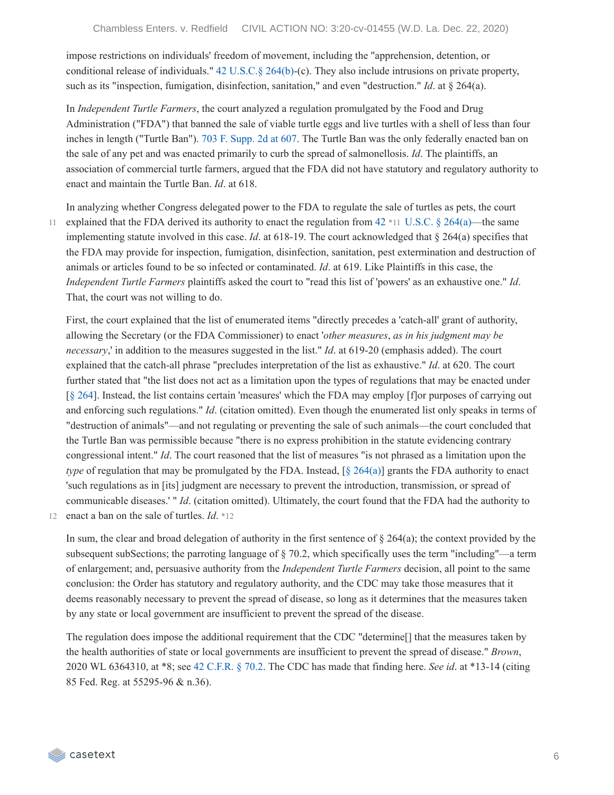impose restrictions on individuals' freedom of movement, including the "apprehension, detention, or conditional release of individuals." 42 [U.S.C.§](https://casetext.com/statute/united-states-code/title-42-the-public-health-and-welfare/chapter-6a-public-health-service/subchapter-ii-general-powers-and-duties/part-g-quarantine-and-inspection/section-264-regulations-to-control-communicable-diseases) 264(b)-(c). They also include intrusions on private property, such as its "inspection, fumigation, disinfection, sanitation," and even "destruction." *Id*. at § 264(a).

In *Independent Turtle Farmers*, the court analyzed a regulation promulgated by the Food and Drug Administration ("FDA") that banned the sale of viable turtle eggs and live turtles with a shell of less than four inches in length ("Turtle Ban"). 703 F. [Supp.](https://casetext.com/case/independent-turtle-farmers-of-louisiana-v-us#p607) 2d at 607. The Turtle Ban was the only federally enacted ban on the sale of any pet and was enacted primarily to curb the spread of salmonellosis. *Id*. The plaintiffs, an association of commercial turtle farmers, argued that the FDA did not have statutory and regulatory authority to enact and maintain the Turtle Ban. *Id*. at 618.

11

In analyzing whether Congress delegated power to the FDA to regulate the sale of turtles as pets, the court explained that the FDA derived its authority to enact the regulation from  $42$  \*11 [U.S.C.](https://casetext.com/statute/united-states-code/title-42-the-public-health-and-welfare/chapter-6a-public-health-service/subchapter-ii-general-powers-and-duties/part-g-quarantine-and-inspection/section-264-regulations-to-control-communicable-diseases) § 264(a)—the same implementing statute involved in this case. *Id*. at 618-19. The court acknowledged that  $\S$  264(a) specifies that the FDA may provide for inspection, fumigation, disinfection, sanitation, pest extermination and destruction of animals or articles found to be so infected or contaminated. *Id*. at 619. Like Plaintiffs in this case, the *Independent Turtle Farmers* plaintiffs asked the court to "read this list of 'powers' as an exhaustive one." *Id*. That, the court was not willing to do.

First, the court explained that the list of enumerated items "directly precedes a 'catch-all' grant of authority, allowing the Secretary (or the FDA Commissioner) to enact '*other measures*, *as in his judgment may be necessary*,' in addition to the measures suggested in the list." *Id*. at 619-20 (emphasis added). The court explained that the catch-all phrase "precludes interpretation of the list as exhaustive." *Id*. at 620. The court further stated that "the list does not act as a limitation upon the types of regulations that may be enacted under [§ [264](https://casetext.com/statute/united-states-code/title-42-the-public-health-and-welfare/chapter-6a-public-health-service/subchapter-ii-general-powers-and-duties/part-g-quarantine-and-inspection/section-264-regulations-to-control-communicable-diseases)]. Instead, the list contains certain 'measures' which the FDA may employ [f]or purposes of carrying out and enforcing such regulations." *Id*. (citation omitted). Even though the enumerated list only speaks in terms of "destruction of animals"—and not regulating or preventing the sale of such animals—the court concluded that the Turtle Ban was permissible because "there is no express prohibition in the statute evidencing contrary congressional intent." *Id*. The court reasoned that the list of measures "is not phrased as a limitation upon the *type* of regulation that may be promulgated by the FDA. Instead, [§ [264\(a\)](https://casetext.com/statute/united-states-code/title-42-the-public-health-and-welfare/chapter-6a-public-health-service/subchapter-ii-general-powers-and-duties/part-g-quarantine-and-inspection/section-264-regulations-to-control-communicable-diseases)] grants the FDA authority to enact 'such regulations as in [its] judgment are necessary to prevent the introduction, transmission, or spread of communicable diseases.' " *Id*. (citation omitted). Ultimately, the court found that the FDA had the authority to 12 enact a ban on the sale of turtles. *Id*. \*12

In sum, the clear and broad delegation of authority in the first sentence of  $\S 264(a)$ ; the context provided by the subsequent subSections; the parroting language of  $\S$  70.2, which specifically uses the term "including"—a term of enlargement; and, persuasive authority from the *Independent Turtle Farmers* decision, all point to the same conclusion: the Order has statutory and regulatory authority, and the CDC may take those measures that it deems reasonably necessary to prevent the spread of disease, so long as it determines that the measures taken by any state or local government are insufficient to prevent the spread of the disease.

The regulation does impose the additional requirement that the CDC "determine[] that the measures taken by the health authorities of state or local governments are insufficient to prevent the spread of disease." *Brown*, 2020 WL 6364310, at \*8; see 42 [C.F.R.](https://casetext.com/regulation/code-of-federal-regulations/title-42-public-health/chapter-i-public-health-service-department-of-health-and-human-services/subchapter-f-quarantine-inspection-licensing/part-70-interstate-quarantine/702-measures-in-the-event-of-inadequate-local-control) § 70.2. The CDC has made that finding here. *See id*. at \*13-14 (citing 85 Fed. Reg. at 55295-96 & n.36).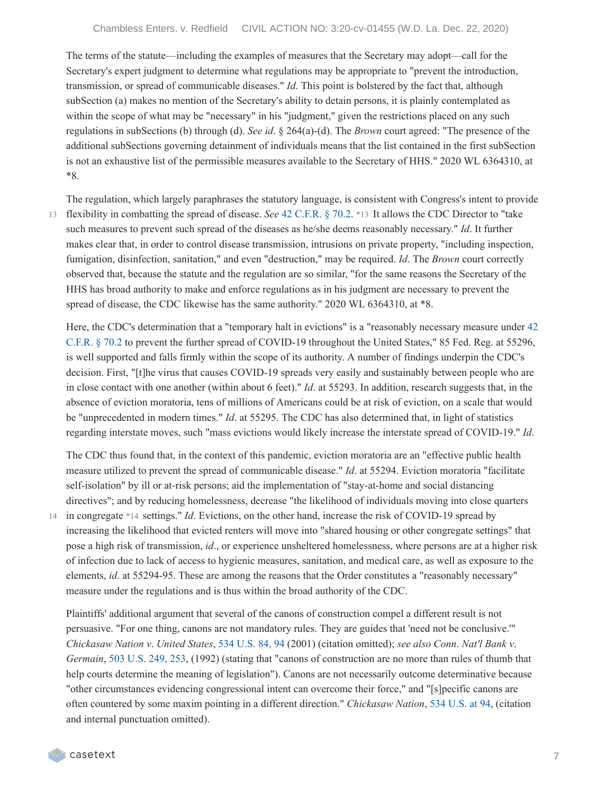The terms of the statute—including the examples of measures that the Secretary may adopt—call for the Secretary's expert judgment to determine what regulations may be appropriate to "prevent the introduction, transmission, or spread of communicable diseases." *Id*. This point is bolstered by the fact that, although subSection (a) makes no mention of the Secretary's ability to detain persons, it is plainly contemplated as within the scope of what may be "necessary" in his "judgment," given the restrictions placed on any such regulations in subSections (b) through (d). *See id*. § 264(a)-(d). The *Brown* court agreed: "The presence of the additional subSections governing detainment of individuals means that the list contained in the first subSection is not an exhaustive list of the permissible measures available to the Secretary of HHS." 2020 WL 6364310, at \*8.

The regulation, which largely paraphrases the statutory language, is consistent with Congress's intent to provide flexibility in combatting the spread of disease. *See* 42 [C.F.R.](https://casetext.com/regulation/code-of-federal-regulations/title-42-public-health/chapter-i-public-health-service-department-of-health-and-human-services/subchapter-f-quarantine-inspection-licensing/part-70-interstate-quarantine/702-measures-in-the-event-of-inadequate-local-control) § 70.2. \*13 It allows the CDC Director to "take 13 such measures to prevent such spread of the diseases as he/she deems reasonably necessary." *Id*. It further makes clear that, in order to control disease transmission, intrusions on private property, "including inspection, fumigation, disinfection, sanitation," and even "destruction," may be required. *Id*. The *Brown* court correctly observed that, because the statute and the regulation are so similar, "for the same reasons the Secretary of the HHS has broad authority to make and enforce regulations as in his judgment are necessary to prevent the spread of disease, the CDC likewise has the same authority." 2020 WL 6364310, at \*8.

Here, the CDC's [determination](https://casetext.com/regulation/code-of-federal-regulations/title-42-public-health/chapter-i-public-health-service-department-of-health-and-human-services/subchapter-f-quarantine-inspection-licensing/part-70-interstate-quarantine/702-measures-in-the-event-of-inadequate-local-control) that a "temporary halt in evictions" is a "reasonably necessary measure under 42 C.F.R. § 70.2 to prevent the further spread of COVID-19 throughout the United States," 85 Fed. Reg. at 55296, is well supported and falls firmly within the scope of its authority. A number of findings underpin the CDC's decision. First, "[t]he virus that causes COVID-19 spreads very easily and sustainably between people who are in close contact with one another (within about 6 feet)." *Id*. at 55293. In addition, research suggests that, in the absence of eviction moratoria, tens of millions of Americans could be at risk of eviction, on a scale that would be "unprecedented in modern times." *Id*. at 55295. The CDC has also determined that, in light of statistics regarding interstate moves, such "mass evictions would likely increase the interstate spread of COVID-19." *Id*.

The CDC thus found that, in the context of this pandemic, eviction moratoria are an "effective public health measure utilized to prevent the spread of communicable disease." *Id*. at 55294. Eviction moratoria "facilitate self-isolation" by ill or at-risk persons; aid the implementation of "stay-at-home and social distancing directives"; and by reducing homelessness, decrease "the likelihood of individuals moving into close quarters 14 in congregate \*14 settings." *Id*. Evictions, on the other hand, increase the risk of COVID-19 spread by increasing the likelihood that evicted renters will move into "shared housing or other congregate settings" that pose a high risk of transmission, *id*., or experience unsheltered homelessness, where persons are at a higher risk of infection due to lack of access to hygienic measures, sanitation, and medical care, as well as exposure to the elements, *id*. at 55294-95. These are among the reasons that the Order constitutes a "reasonably necessary" measure under the regulations and is thus within the broad authority of the CDC.

Plaintiffs' additional argument that several of the canons of construction compel a different result is not persuasive. "For one thing, canons are not mandatory rules. They are guides that 'need not be conclusive.'" *Chickasaw Nation v*. *United States*, 534 [U.S.](https://casetext.com/case/chickasaw-nation-v-us#p94) 84, 94 (2001) (citation omitted); *see also Conn*. *Nat'l Bank v*. *Germain*, 503 [U.S.](https://casetext.com/case/connecticut-national-bank-v-germain#p253) 249, 253, (1992) (stating that "canons of construction are no more than rules of thumb that help courts determine the meaning of legislation"). Canons are not necessarily outcome determinative because "other circumstances evidencing congressional intent can overcome their force," and "[s]pecific canons are often countered by some maxim pointing in a different direction." *Chickasaw Nation*, 534 [U.S.](https://casetext.com/case/chickasaw-nation-v-us#p94) at 94, (citation and internal punctuation omitted).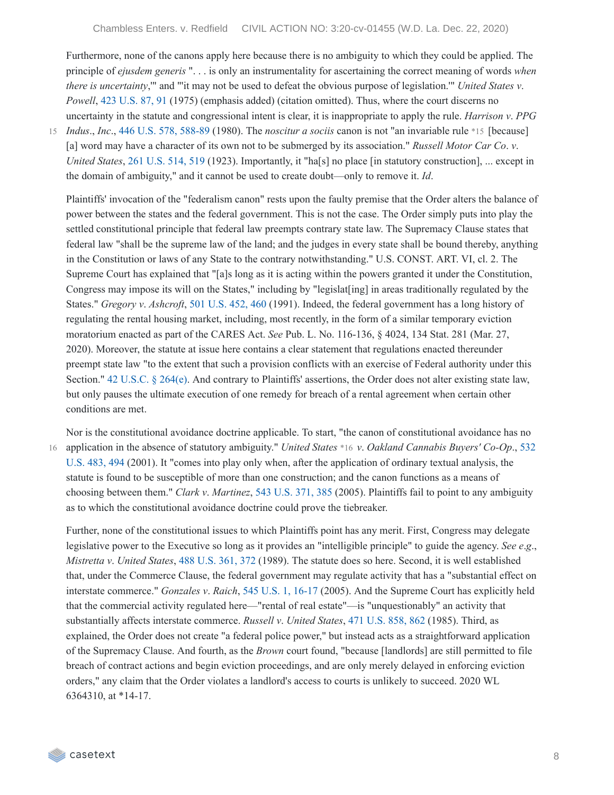Furthermore, none of the canons apply here because there is no ambiguity to which they could be applied. The principle of *ejusdem generis* ". . . is only an instrumentality for ascertaining the correct meaning of words *when there is uncertainty*,'" and "'it may not be used to defeat the obvious purpose of legislation.'" *United States v*. *Powell*, 423 [U.S.](https://casetext.com/case/united-states-v-powell#p91) 87, 91 (1975) (emphasis added) (citation omitted). Thus, where the court discerns no uncertainty in the statute and congressional intent is clear, it is inappropriate to apply the rule. *Harrison v*. *PPG*

15 *Indus*., *Inc.*, 446 U.S. 578, [588-89](https://casetext.com/case/harrison-v-ppg-industries-inc#p588) (1980). The *noscitur a sociis* canon is not "an invariable rule \*15 [because] [a] word may have a character of its own not to be submerged by its association." *Russell Motor Car Co*. *v*. *United States*, 261 [U.S.](https://casetext.com/case/russell-co-v-united-states#p519) 514, 519 (1923). Importantly, it "ha[s] no place [in statutory construction], ... except in the domain of ambiguity," and it cannot be used to create doubt—only to remove it. *Id*.

Plaintiffs' invocation of the "federalism canon" rests upon the faulty premise that the Order alters the balance of power between the states and the federal government. This is not the case. The Order simply puts into play the settled constitutional principle that federal law preempts contrary state law. The Supremacy Clause states that federal law "shall be the supreme law of the land; and the judges in every state shall be bound thereby, anything in the Constitution or laws of any State to the contrary notwithstanding." U.S. CONST. ART. VI, cl. 2. The Supreme Court has explained that "[a]s long as it is acting within the powers granted it under the Constitution, Congress may impose its will on the States," including by "legislat [ing] in areas traditionally regulated by the States." *Gregory v*. *Ashcroft*, 501 [U.S.](https://casetext.com/case/gregory-v-ashcroft-2#p460) 452, 460 (1991). Indeed, the federal government has a long history of regulating the rental housing market, including, most recently, in the form of a similar temporary eviction moratorium enacted as part of the CARES Act. *See* Pub. L. No. 116-136, § 4024, 134 Stat. 281 (Mar. 27, 2020). Moreover, the statute at issue here contains a clear statement that regulations enacted thereunder preempt state law "to the extent that such a provision conflicts with an exercise of Federal authority under this Section." 42 [U.S.C.](https://casetext.com/statute/united-states-code/title-42-the-public-health-and-welfare/chapter-6a-public-health-service/subchapter-ii-general-powers-and-duties/part-g-quarantine-and-inspection/section-264-regulations-to-control-communicable-diseases) § 264(e). And contrary to Plaintiffs' assertions, the Order does not alter existing state law, but only pauses the ultimate execution of one remedy for breach of a rental agreement when certain other conditions are met.

Nor is the constitutional avoidance doctrine applicable. To start, "the canon of constitutional avoidance has no application in the absence of statutory [ambiguity."](https://casetext.com/case/us-v-oakland-cannabis-buyers-cooperative#p494) *United States* \*16 *v*. *Oakland Cannabis Buyers' Co-Op*., 532 16 U.S. 483, 494 (2001). It "comes into play only when, after the application of ordinary textual analysis, the statute is found to be susceptible of more than one construction; and the canon functions as a means of choosing between them." *Clark v*. *Martinez*, 543 [U.S.](https://casetext.com/case/clark-v-martinez#p385) 371, 385 (2005). Plaintiffs fail to point to any ambiguity as to which the constitutional avoidance doctrine could prove the tiebreaker.

Further, none of the constitutional issues to which Plaintiffs point has any merit. First, Congress may delegate legislative power to the Executive so long as it provides an "intelligible principle" to guide the agency. *See e*.*g*., *Mistretta v*. *United States*, 488 [U.S.](https://casetext.com/case/mistretta-v-united-states#p372) 361, 372 (1989). The statute does so here. Second, it is well established that, under the Commerce Clause, the federal government may regulate activity that has a "substantial effect on interstate commerce." *Gonzales v*. *Raich*, 545 U.S. 1, [16-17](https://casetext.com/case/gonzales-v-raich#p16) (2005). And the Supreme Court has explicitly held that the commercial activity regulated here—"rental of real estate"—is "unquestionably" an activity that substantially affects interstate commerce. *Russell v*. *United States*, 471 [U.S.](https://casetext.com/case/russell-v-united-states-34#p862) 858, 862 (1985). Third, as explained, the Order does not create "a federal police power," but instead acts as a straightforward application of the Supremacy Clause. And fourth, as the *Brown* court found, "because [landlords] are still permitted to file breach of contract actions and begin eviction proceedings, and are only merely delayed in enforcing eviction orders," any claim that the Order violates a landlord's access to courts is unlikely to succeed. 2020 WL 6364310, at \*14-17.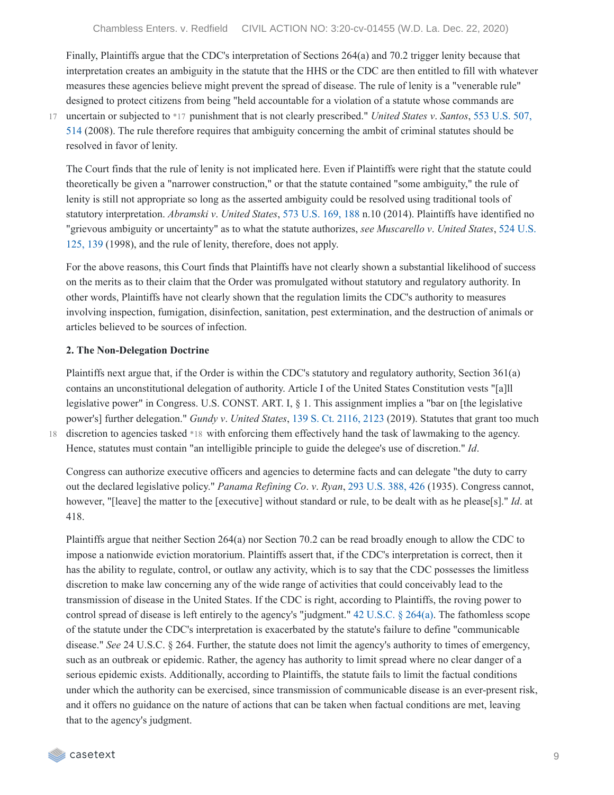Finally, Plaintiffs argue that the CDC's interpretation of Sections 264(a) and 70.2 trigger lenity because that interpretation creates an ambiguity in the statute that the HHS or the CDC are then entitled to fill with whatever measures these agencies believe might prevent the spread of disease. The rule of lenity is a "venerable rule" designed to protect citizens from being "held accountable for a violation of a statute whose commands are

17

uncertain or subjected to \*17 punishment that is not clearly [prescribed."](https://casetext.com/case/us-v-santos-73#p514) *United States v*. *Santos*, 553 U.S. 507, 514 (2008). The rule therefore requires that ambiguity concerning the ambit of criminal statutes should be resolved in favor of lenity.

The Court finds that the rule of lenity is not implicated here. Even if Plaintiffs were right that the statute could theoretically be given a "narrower construction," or that the statute contained "some ambiguity," the rule of lenity is still not appropriate so long as the asserted ambiguity could be resolved using traditional tools of statutory interpretation. *Abramski v*. *United States*, 573 [U.S.](https://casetext.com/case/abramski-v-united-states-1#p188) 169, 188 n.10 (2014). Plaintiffs have identified no "grievous ambiguity or [uncertainty"](https://casetext.com/case/muscarello-v-united-states#p139) as to what the statute authorizes, *see Muscarello v*. *United States*, 524 U.S. 125, 139 (1998), and the rule of lenity, therefore, does not apply.

For the above reasons, this Court finds that Plaintiffs have not clearly shown a substantial likelihood of success on the merits as to their claim that the Order was promulgated without statutory and regulatory authority. In other words, Plaintiffs have not clearly shown that the regulation limits the CDC's authority to measures involving inspection, fumigation, disinfection, sanitation, pest extermination, and the destruction of animals or articles believed to be sources of infection.

#### **2. The Non-Delegation Doctrine**

Plaintiffs next argue that, if the Order is within the CDC's statutory and regulatory authority, Section 361(a) contains an unconstitutional delegation of authority. Article I of the United States Constitution vests "[a]ll legislative power" in Congress. U.S. CONST. ART. I, § 1. This assignment implies a "bar on [the legislative power's] further delegation." *Gundy v*. *United States*, 139 S. Ct. [2116,](https://casetext.com/case/gundy-v-united-states-3#p2123) 2123 (2019). Statutes that grant too much discretion to agencies tasked \*18 with enforcing them effectively hand the task of lawmaking to the agency. Hence, statutes must contain "an intelligible principle to guide the delegee's use of discretion." *Id*.

18

Congress can authorize executive officers and agencies to determine facts and can delegate "the duty to carry out the declared legislative policy." *Panama Refining Co*. *v*. *Ryan*, 293 [U.S.](https://casetext.com/case/panama-refining-co-v-ryan#p426) 388, 426 (1935). Congress cannot, however, "[leave] the matter to the [executive] without standard or rule, to be dealt with as he please[s]." *Id*. at 418.

Plaintiffs argue that neither Section 264(a) nor Section 70.2 can be read broadly enough to allow the CDC to impose a nationwide eviction moratorium. Plaintiffs assert that, if the CDC's interpretation is correct, then it has the ability to regulate, control, or outlaw any activity, which is to say that the CDC possesses the limitless discretion to make law concerning any of the wide range of activities that could conceivably lead to the transmission of disease in the United States. If the CDC is right, according to Plaintiffs, the roving power to control spread of disease is left entirely to the agency's "judgment." 42 [U.S.C.](https://casetext.com/statute/united-states-code/title-42-the-public-health-and-welfare/chapter-6a-public-health-service/subchapter-ii-general-powers-and-duties/part-g-quarantine-and-inspection/section-264-regulations-to-control-communicable-diseases) § 264(a). The fathomless scope of the statute under the CDC's interpretation is exacerbated by the statute's failure to define "communicable disease." *See* 24 U.S.C. § 264. Further, the statute does not limit the agency's authority to times of emergency, such as an outbreak or epidemic. Rather, the agency has authority to limit spread where no clear danger of a serious epidemic exists. Additionally, according to Plaintiffs, the statute fails to limit the factual conditions under which the authority can be exercised, since transmission of communicable disease is an ever-present risk, and it offers no guidance on the nature of actions that can be taken when factual conditions are met, leaving that to the agency's judgment.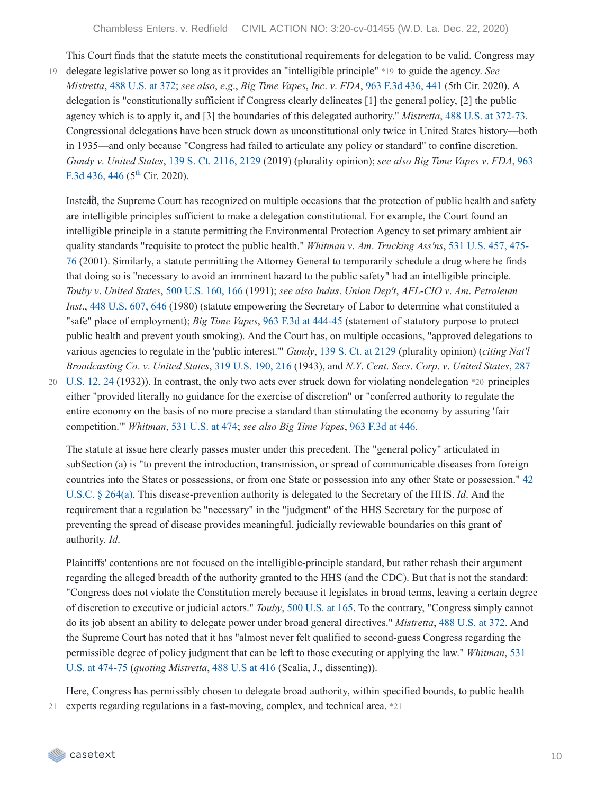This Court finds that the statute meets the constitutional requirements for delegation to be valid. Congress may delegate legislative power so long as it provides an "intelligible principle" \*19 to guide the agency. *See* 19 *Mistretta*, 488 [U.S.](https://casetext.com/case/mistretta-v-united-states#p372) at 372; *see also*, *e*.*g*., *Big Time Vapes*, *Inc*. *v*. *FDA*, 963 F.3d [436,](https://casetext.com/case/big-time-vapes-inc-v-food-drug-admin-2#p441) 441 (5th Cir. 2020). A delegation is "constitutionally sufficient if Congress clearly delineates [1] the general policy, [2] the public agency which is to apply it, and [3] the boundaries of this delegated authority." *Mistretta*, 488 U.S. at [372-73](https://casetext.com/case/mistretta-v-united-states#p372). Congressional delegations have been struck down as unconstitutional only twice in United States history—both in 1935—and only because "Congress had failed to articulate any policy or standard" to confine discretion. *Gundy v*. *United States*, 139 S. Ct. [2116,](https://casetext.com/case/gundy-v-united-states-3#p2129) 2129 (2019) [\(plurality](https://casetext.com/case/big-time-vapes-inc-v-food-drug-admin-2#p446) opinion); *see also Big Time Vapes v*. *FDA*, 963 F.3d 436, 446 ( $5^{\text{th}}$  $5^{\text{th}}$  $5^{\text{th}}$  Cir. 2020).

Instead, the Supreme Court has recognized on multiple occasions that the protection of public health and safety are intelligible principles sufficient to make a delegation constitutional. For example, the Court found an intelligible principle in a statute permitting the Environmental Protection Agency to set primary ambient air quality standards "requisite to protect the public health." *Whitman v*. *Am*. *Trucking Ass'ns*, 531 U.S. 457, 475- 76 (2001). Similarly, a statute permitting the Attorney General to [temporarily](https://casetext.com/case/whitman-v-american-trucking-associations#p475) schedule a drug where he finds that doing so is "necessary to avoid an imminent hazard to the public safety" had an intelligible principle. *Touby v*. *United States*, 500 [U.S.](https://casetext.com/case/touby-v-united-states#p166) 160, 166 (1991); *see also Indus*. *Union Dep't*, *AFL-CIO v*. *Am*. *Petroleum Inst.*, 448 [U.S.](https://casetext.com/case/industrial-union-dept-v-american-petrol-inst#p646) 607, 646 (1980) (statute empowering the Secretary of Labor to determine what constituted a "safe" place of employment); *Big Time Vapes*, 963 F.3d at [444-45](https://casetext.com/case/big-time-vapes-inc-v-food-drug-admin-2#p444) (statement of statutory purpose to protect public health and prevent youth smoking). And the Court has, on multiple occasions, "approved delegations to various agencies to regulate in the 'public interest.'" *Gundy*, 139 S. Ct. at [2129](https://casetext.com/case/gundy-v-united-states-3#p2129) (plurality opinion) (*citing Nat'l Broadcasting Co*. *v*. *United States*, 319 [U.S.](https://casetext.com/case/nat-broadcasting-co-v-us#p216) 190, 216 (1943), and *N*.*Y*. *Cent*. *Secs*. *Corp*. *v*. *United States*, 287

U.S. 12, 24 (1932)). In contrast, the only two acts ever struck down for violating [nondelegation](https://casetext.com/case/ny-central-securities-co-v-us#p24) \*20 principles 20 either "provided literally no guidance for the exercise of discretion" or "conferred authority to regulate the entire economy on the basis of no more precise a standard than stimulating the economy by assuring 'fair competition.'" *Whitman*, 531 [U.S.](https://casetext.com/case/whitman-v-american-trucking-associations#p474) at 474; *see also Big Time Vapes*, 963 [F.3d](https://casetext.com/case/big-time-vapes-inc-v-food-drug-admin-2#p446) at 446.

The statute at issue here clearly passes muster under this precedent. The "general policy" articulated in subSection (a) is "to prevent the introduction, transmission, or spread of communicable diseases from foreign countries into the States or possessions, or from one State or possession into any other State or possession." 42 U.S.C. § 264(a). This [disease-prevention](https://casetext.com/statute/united-states-code/title-42-the-public-health-and-welfare/chapter-6a-public-health-service/subchapter-ii-general-powers-and-duties/part-g-quarantine-and-inspection/section-264-regulations-to-control-communicable-diseases) authority is delegated to the Secretary of the HHS. *Id*. And the requirement that a regulation be "necessary" in the "judgment" of the HHS Secretary for the purpose of preventing the spread of disease provides meaningful, judicially reviewable boundaries on this grant of authority. *Id*.

Plaintiffs' contentions are not focused on the intelligible-principle standard, but rather rehash their argument regarding the alleged breadth of the authority granted to the HHS (and the CDC). But that is not the standard: "Congress does not violate the Constitution merely because it legislates in broad terms, leaving a certain degree of discretion to executive or judicial actors." *Touby*, 500 [U.S.](https://casetext.com/case/touby-v-united-states#p165) at 165. To the contrary, "Congress simply cannot do its job absent an ability to delegate power under broad general directives." *Mistretta*, 488 [U.S.](https://casetext.com/case/mistretta-v-united-states#p372) at 372. And the Supreme Court has noted that it has "almost never felt qualified to second-guess Congress regarding the permissible degree of policy judgment that can be left to those executing or applying the law." *Whitman*, 531 U.S. at 474-75 (*quoting Mistretta*, 488 [U.S](https://casetext.com/case/mistretta-v-united-states#p416) at 416 (Scalia, J., [dissenting\)\).](https://casetext.com/case/whitman-v-american-trucking-associations#p474)

Here, Congress has permissibly chosen to delegate broad authority, within specified bounds, to public health 21 experts regarding regulations in a fast-moving, complex, and technical area. \*21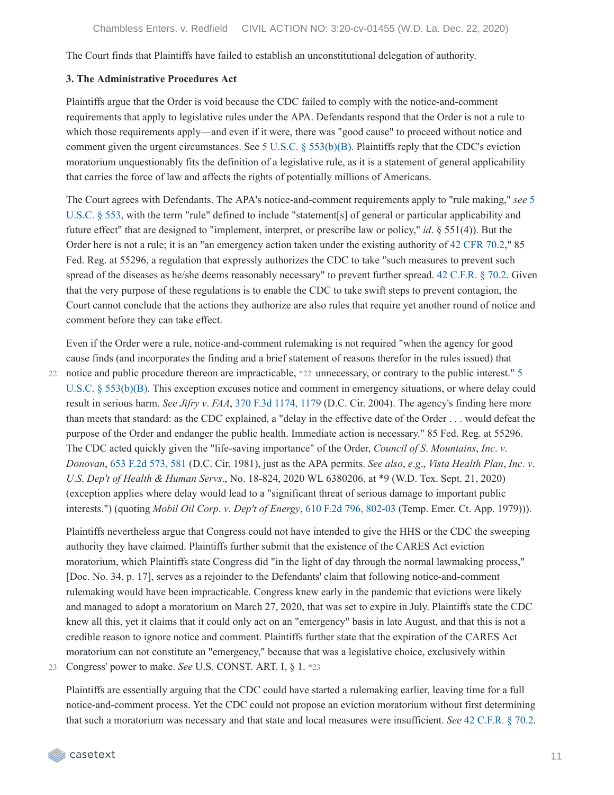The Court finds that Plaintiffs have failed to establish an unconstitutional delegation of authority.

#### **3. The Administrative Procedures Act**

Plaintiffs argue that the Order is void because the CDC failed to comply with the notice-and-comment requirements that apply to legislative rules under the APA. Defendants respond that the Order is not a rule to which those requirements apply—and even if it were, there was "good cause" to proceed without notice and comment given the urgent circumstances. See 5 U.S.C. § [553\(b\)\(B\)](https://casetext.com/statute/united-states-code/title-5-government-organization-and-employees/part-i-the-agencies-generally/chapter-5-administrative-procedure/subchapter-ii-administrative-procedure/section-553-rule-making). Plaintiffs reply that the CDC's eviction moratorium unquestionably fits the definition of a legislative rule, as it is a statement of general applicability that carries the force of law and affects the rights of potentially millions of Americans.

The Court agrees with Defendants. The APA's [notice-and-comment](https://casetext.com/statute/united-states-code/title-5-government-organization-and-employees/part-i-the-agencies-generally/chapter-5-administrative-procedure/subchapter-ii-administrative-procedure/section-553-rule-making) requirements apply to "rule making," *see* 5 U.S.C. § 553, with the term "rule" defined to include "statement[s] of general or particular applicability and future effect" that are designed to "implement, interpret, or prescribe law or policy," *id*. § 551(4)). But the Order here is not a rule; it is an "an emergency action taken under the existing authority of 42 [CFR](https://casetext.com/regulation/code-of-federal-regulations/title-42-public-health/chapter-i-public-health-service-department-of-health-and-human-services/subchapter-f-quarantine-inspection-licensing/part-70-interstate-quarantine/702-measures-in-the-event-of-inadequate-local-control) 70.2," 85 Fed. Reg. at 55296, a regulation that expressly authorizes the CDC to take "such measures to prevent such spread of the diseases as he/she deems reasonably necessary" to prevent further spread. 42 [C.F.R.](https://casetext.com/regulation/code-of-federal-regulations/title-42-public-health/chapter-i-public-health-service-department-of-health-and-human-services/subchapter-f-quarantine-inspection-licensing/part-70-interstate-quarantine/702-measures-in-the-event-of-inadequate-local-control) § 70.2. Given that the very purpose of these regulations is to enable the CDC to take swift steps to prevent contagion, the Court cannot conclude that the actions they authorize are also rules that require yet another round of notice and comment before they can take effect.

Even if the Order were a rule, notice-and-comment rulemaking is not required "when the agency for good cause finds (and incorporates the finding and a brief statement of reasons therefor in the rules issued) that 22 notice and public procedure thereon are [impracticable,](https://casetext.com/statute/united-states-code/title-5-government-organization-and-employees/part-i-the-agencies-generally/chapter-5-administrative-procedure/subchapter-ii-administrative-procedure/section-553-rule-making) \*22 unnecessary, or contrary to the public interest." 5 U.S.C. § 553(b)(B). This exception excuses notice and comment in emergency situations, or where delay could result in serious harm. *See Jifry v*. *FAA*, 370 F.3d [1174,](https://casetext.com/case/jifry-v-faa#p1179) 1179 (D.C. Cir. 2004). The agency's finding here more than meets that standard: as the CDC explained, a "delay in the effective date of the Order . . . would defeat the purpose of the Order and endanger the public health. Immediate action is necessary." 85 Fed. Reg. at 55296. The CDC acted quickly given the "life-saving importance" of the Order, *Council of S*. *Mountains*, *Inc*. *v*. *Donovan*, 653 F.2d [573,](https://casetext.com/case/council-of-southern-mountains-inc-v-donovan-2#p581) 581 (D.C. Cir. 1981), just as the APA permits. *See also*, *e*.*g*., *Vista Health Plan*, *Inc*. *v*. *U*.*S*. *Dep't of Health & Human Servs*., No. 18-824, 2020 WL 6380206, at \*9 (W.D. Tex. Sept. 21, 2020) (exception applies where delay would lead to a "significant threat of serious damage to important public interests.") (quoting *Mobil Oil Corp*. *v*. *Dep't of Energy*, 610 F.2d 796, [802-03](https://casetext.com/case/mobil-oil-corp-v-department-of-energy-2#p802) (Temp. Emer. Ct. App. 1979))).

Plaintiffs nevertheless argue that Congress could not have intended to give the HHS or the CDC the sweeping authority they have claimed. Plaintiffs further submit that the existence of the CARES Act eviction moratorium, which Plaintiffs state Congress did "in the light of day through the normal lawmaking process," [Doc. No. 34, p. 17], serves as a rejoinder to the Defendants' claim that following notice-and-comment rulemaking would have been impracticable. Congress knew early in the pandemic that evictions were likely and managed to adopt a moratorium on March 27, 2020, that was set to expire in July. Plaintiffs state the CDC knew all this, yet it claims that it could only act on an "emergency" basis in late August, and that this is not a credible reason to ignore notice and comment. Plaintiffs further state that the expiration of the CARES Act moratorium can not constitute an "emergency," because that was a legislative choice, exclusively within

23 Congress' power to make. *See* U.S. CONST. ART. I, § 1. \*23

Plaintiffs are essentially arguing that the CDC could have started a rulemaking earlier, leaving time for a full notice-and-comment process. Yet the CDC could not propose an eviction moratorium without first determining that such a moratorium was necessary and that state and local measures were insufficient. *See* 42 [C.F.R.](https://casetext.com/regulation/code-of-federal-regulations/title-42-public-health/chapter-i-public-health-service-department-of-health-and-human-services/subchapter-f-quarantine-inspection-licensing/part-70-interstate-quarantine/702-measures-in-the-event-of-inadequate-local-control) § 70.2.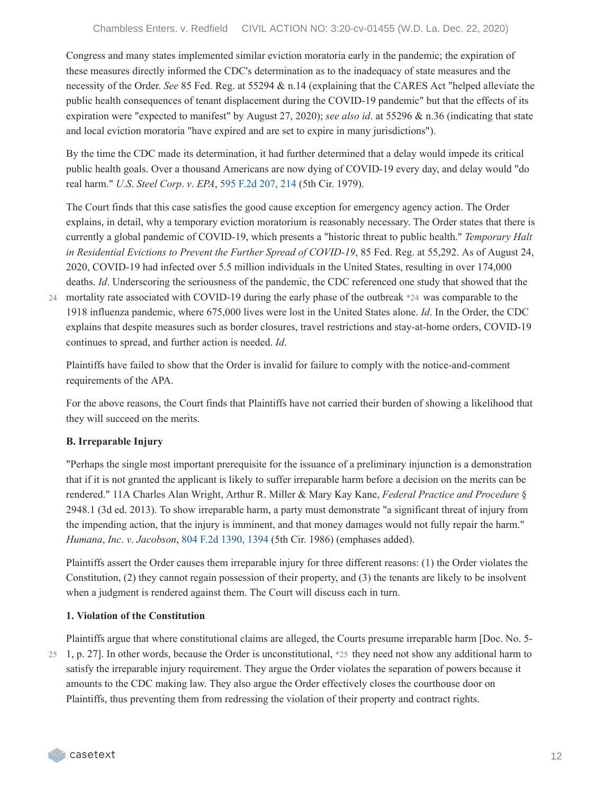Congress and many states implemented similar eviction moratoria early in the pandemic; the expiration of these measures directly informed the CDC's determination as to the inadequacy of state measures and the necessity of the Order. *See* 85 Fed. Reg. at 55294 & n.14 (explaining that the CARES Act "helped alleviate the public health consequences of tenant displacement during the COVID-19 pandemic" but that the effects of its expiration were "expected to manifest" by August 27, 2020); *see also id*. at 55296 & n.36 (indicating that state and local eviction moratoria "have expired and are set to expire in many jurisdictions").

By the time the CDC made its determination, it had further determined that a delay would impede its critical public health goals. Over a thousand Americans are now dying of COVID-19 every day, and delay would "do real harm." *U*.*S*. *Steel Corp*. *v*. *EPA*, 595 F.2d [207,](https://casetext.com/case/us-steel-corp-v-us-environ-protection#p214) 214 (5th Cir. 1979).

The Court finds that this case satisfies the good cause exception for emergency agency action. The Order explains, in detail, why a temporary eviction moratorium is reasonably necessary. The Order states that there is currently a global pandemic of COVID-19, which presents a "historic threat to public health." *Temporary Halt in Residential Evictions to Prevent the Further Spread of COVID-19*, 85 Fed. Reg. at 55,292. As of August 24, 2020, COVID-19 had infected over 5.5 million individuals in the United States, resulting in over 174,000 deaths. *Id*. Underscoring the seriousness of the pandemic, the CDC referenced one study that showed that the mortality rate associated with COVID-19 during the early phase of the outbreak \*24 was comparable to the 24 1918 influenza pandemic, where 675,000 lives were lost in the United States alone. *Id*. In the Order, the CDC explains that despite measures such as border closures, travel restrictions and stay-at-home orders, COVID-19 continues to spread, and further action is needed. *Id*.

Plaintiffs have failed to show that the Order is invalid for failure to comply with the notice-and-comment requirements of the APA.

For the above reasons, the Court finds that Plaintiffs have not carried their burden of showing a likelihood that they will succeed on the merits.

### **B. Irreparable Injury**

"Perhaps the single most important prerequisite for the issuance of a preliminary injunction is a demonstration that if it is not granted the applicant is likely to suffer irreparable harm before a decision on the merits can be rendered." 11A Charles Alan Wright, Arthur R. Miller & Mary Kay Kane, *Federal Practice and Procedure* § 2948.1 (3d ed. 2013). To show irreparable harm, a party must demonstrate "a significant threat of injury from the impending action, that the injury is imminent, and that money damages would not fully repair the harm." *Humana*, *Inc*. *v*. *Jacobson*, 804 F.2d [1390,](https://casetext.com/case/humana-inc-v-avram-a-jacobson-md-pa#p1394) 1394 (5th Cir. 1986) (emphases added).

Plaintiffs assert the Order causes them irreparable injury for three different reasons: (1) the Order violates the Constitution, (2) they cannot regain possession of their property, and (3) the tenants are likely to be insolvent when a judgment is rendered against them. The Court will discuss each in turn.

### **1. Violation of the Constitution**

Plaintiffs argue that where constitutional claims are alleged, the Courts presume irreparable harm [Doc. No. 5- 25 1, p. 27]. In other words, because the Order is unconstitutional,  $*25$  they need not show any additional harm to satisfy the irreparable injury requirement. They argue the Order violates the separation of powers because it amounts to the CDC making law. They also argue the Order effectively closes the courthouse door on Plaintiffs, thus preventing them from redressing the violation of their property and contract rights.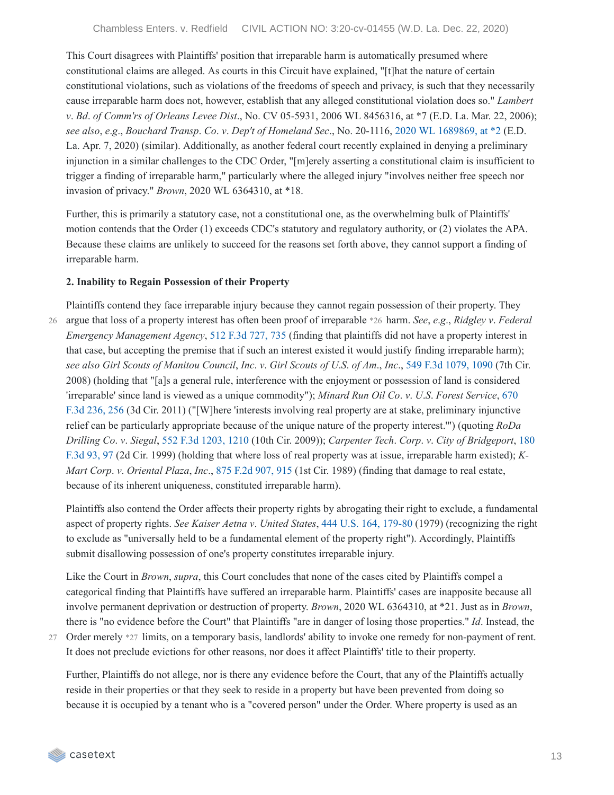This Court disagrees with Plaintiffs' position that irreparable harm is automatically presumed where constitutional claims are alleged. As courts in this Circuit have explained, "[t]hat the nature of certain constitutional violations, such as violations of the freedoms of speech and privacy, is such that they necessarily cause irreparable harm does not, however, establish that any alleged constitutional violation does so." *Lambert v*. *Bd*. *of Comm'rs of Orleans Levee Dist*., No. CV 05-5931, 2006 WL 8456316, at \*7 (E.D. La. Mar. 22, 2006); *see also*, *e*.*g*., *Bouchard Transp*. *Co*. *v*. *Dep't of Homeland Sec*., No. 20-1116, 2020 WL [1689869,](https://casetext.com/case/bouchard-transp-co-v-dept-of-homeland-sec-1#p2) at \*2 (E.D. La. Apr. 7, 2020) (similar). Additionally, as another federal court recently explained in denying a preliminary injunction in a similar challenges to the CDC Order, "[m]erely asserting a constitutional claim is insufficient to trigger a finding of irreparable harm," particularly where the alleged injury "involves neither free speech nor invasion of privacy." *Brown*, 2020 WL 6364310, at \*18.

Further, this is primarily a statutory case, not a constitutional one, as the overwhelming bulk of Plaintiffs' motion contends that the Order (1) exceeds CDC's statutory and regulatory authority, or (2) violates the APA. Because these claims are unlikely to succeed for the reasons set forth above, they cannot support a finding of irreparable harm.

#### **2. Inability to Regain Possession of their Property**

Plaintiffs contend they face irreparable injury because they cannot regain possession of their property. They argue that loss of a property interest has often been proof of irreparable \*26 harm. *See*, *e*.*g*., *Ridgley v*. *Federal* 26 *Emergency Management Agency*, 512 F.3d [727,](https://casetext.com/case/ridgely-v-fed-emergency#p735) 735 (finding that plaintiffs did not have a property interest in that case, but accepting the premise that if such an interest existed it would justify finding irreparable harm); see also Girl Scouts of Manitou Council, Inc. v. Girl Scouts of U.S. of Am., Inc., 549 F.3d [1079,](https://casetext.com/case/girl-scouts-v-girl-scouts#p1090) 1090 (7th Cir. 2008) (holding that "[a]s a general rule, interference with the enjoyment or possession of land is considered 'irreparable' since land is viewed as a unique [commodity"\);](https://casetext.com/case/minard-run-oil-co-v-us-forest-ser#p256) *Minard Run Oil Co*. *v*. *U*.*S*. *Forest Service*, 670 F.3d 236, 256 (3d Cir. 2011) ("[W]here 'interests involving real property are at stake, preliminary injunctive relief can be particularly appropriate because of the unique nature of the property interest.'") (quoting *RoDa Drilling Co*. *v*. *Siegal*, 552 F.3d [1203,](https://casetext.com/case/roda-drilling-co-v-siegal#p1210) 1210 (10th Cir. 2009)); *Carpenter Tech*. *Corp*. *v*. *City of [Bridgeport](https://casetext.com/case/carpenter-technology-v-city-of-bridgeport#p97)*, 180 F.3d 93, 97 (2d Cir. 1999) (holding that where loss of real property was at issue, irreparable harm existed); *K-Mart Corp*. *v*. *Oriental Plaza*, *Inc*., 875 F.2d [907,](https://casetext.com/case/k-mart-corp-v-oriental-plaza-inc#p915) 915 (1st Cir. 1989) (finding that damage to real estate, because of its inherent uniqueness, constituted irreparable harm).

Plaintiffs also contend the Order affects their property rights by abrogating their right to exclude, a fundamental aspect of property rights. *See Kaiser Aetna v*. *United States*, 444 U.S. 164, [179-80](https://casetext.com/case/kaiser-aetna-v-united-states#p179) (1979) (recognizing the right to exclude as "universally held to be a fundamental element of the property right"). Accordingly, Plaintiffs submit disallowing possession of one's property constitutes irreparable injury.

Like the Court in *Brown*, *supra*, this Court concludes that none of the cases cited by Plaintiffs compel a categorical finding that Plaintiffs have suffered an irreparable harm. Plaintiffs' cases are inapposite because all involve permanent deprivation or destruction of property. *Brown*, 2020 WL 6364310, at \*21. Just as in *Brown*, there is "no evidence before the Court" that Plaintiffs "are in danger of losing those properties." *Id*. Instead, the 27 Order merely \*27 limits, on a temporary basis, landlords' ability to invoke one remedy for non-payment of rent.

It does not preclude evictions for other reasons, nor does it affect Plaintiffs' title to their property. Further, Plaintiffs do not allege, nor is there any evidence before the Court, that any of the Plaintiffs actually

reside in their properties or that they seek to reside in a property but have been prevented from doing so because it is occupied by a tenant who is a "covered person" under the Order. Where property is used as an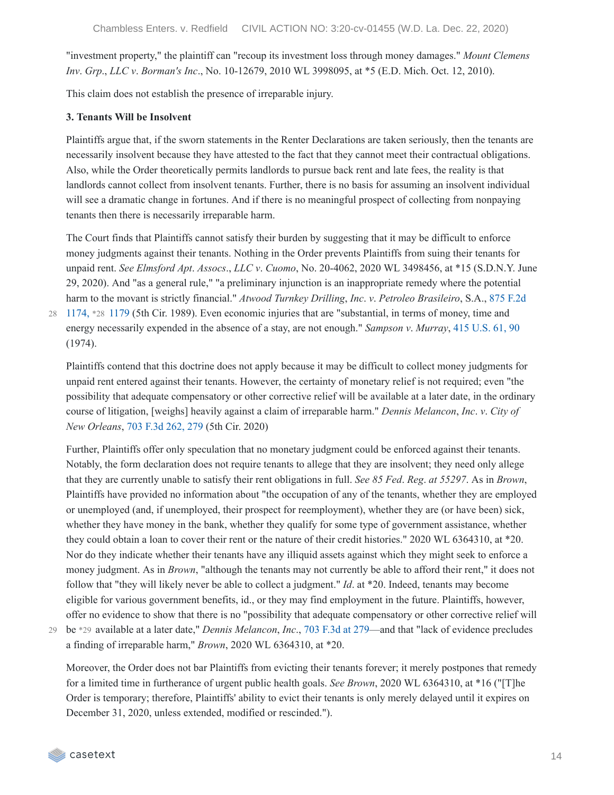"investment property," the plaintiff can "recoup its investment loss through money damages." *Mount Clemens Inv*. *Grp*., *LLC v*. *Borman's Inc*., No. 10-12679, 2010 WL 3998095, at \*5 (E.D. Mich. Oct. 12, 2010).

This claim does not establish the presence of irreparable injury.

#### **3. Tenants Will be Insolvent**

Plaintiffs argue that, if the sworn statements in the Renter Declarations are taken seriously, then the tenants are necessarily insolvent because they have attested to the fact that they cannot meet their contractual obligations. Also, while the Order theoretically permits landlords to pursue back rent and late fees, the reality is that landlords cannot collect from insolvent tenants. Further, there is no basis for assuming an insolvent individual will see a dramatic change in fortunes. And if there is no meaningful prospect of collecting from nonpaying tenants then there is necessarily irreparable harm.

The Court finds that Plaintiffs cannot satisfy their burden by suggesting that it may be difficult to enforce money judgments against their tenants. Nothing in the Order prevents Plaintiffs from suing their tenants for unpaid rent. *See Elmsford Apt*. *Assocs*., *LLC v*. *Cuomo*, No. 20-4062, 2020 WL 3498456, at \*15 (S.D.N.Y. June 29, 2020). And "as a general rule," "a preliminary injunction is an inappropriate remedy where the potential harm to the movant is strictly financial." *Atwood Turnkey Drilling*, *Inc*. *v*. *Petroleo Brasileiro*, S.A., 875 F.2d

1174, \*28 1179 (5th Cir. 1989). Even economic injuries that are ["substantial,](https://casetext.com/case/atwood-turnkey-v-petroleo-brasileiro#p1179) in terms of money, time and 28 energy necessarily expended in the absence of a stay, are not enough." *Sampson v*. *Murray*, 415 [U.S.](https://casetext.com/case/sampson-v-murray#p90) 61, 90 (1974).

Plaintiffs contend that this doctrine does not apply because it may be difficult to collect money judgments for unpaid rent entered against their tenants. However, the certainty of monetary relief is not required; even "the possibility that adequate compensatory or other corrective relief will be available at a later date, in the ordinary course of litigation, [weighs] heavily against a claim of irreparable harm." *Dennis Melancon*, *Inc*. *v*. *City of New Orleans*, 703 F.3d [262,](https://casetext.com/case/dennis-melancon-inc-v-city-of-new-orleans-3#p279) 279 (5th Cir. 2020)

Further, Plaintiffs offer only speculation that no monetary judgment could be enforced against their tenants. Notably, the form declaration does not require tenants to allege that they are insolvent; they need only allege that they are currently unable to satisfy their rent obligations in full. *See 85 Fed*. *Reg*. *at 55297*. As in *Brown*, Plaintiffs have provided no information about "the occupation of any of the tenants, whether they are employed or unemployed (and, if unemployed, their prospect for reemployment), whether they are (or have been) sick, whether they have money in the bank, whether they qualify for some type of government assistance, whether they could obtain a loan to cover their rent or the nature of their credit histories." 2020 WL 6364310, at \*20. Nor do they indicate whether their tenants have any illiquid assets against which they might seek to enforce a money judgment. As in *Brown*, "although the tenants may not currently be able to afford their rent," it does not follow that "they will likely never be able to collect a judgment." *Id*. at \*20. Indeed, tenants may become eligible for various government benefits, id., or they may find employment in the future. Plaintiffs, however, offer no evidence to show that there is no "possibility that adequate compensatory or other corrective relief will be \*29 available at a later date," *Dennis Melancon*, *Inc*., 703 [F.3d](https://casetext.com/case/dennis-melancon-inc-v-city-of-new-orleans-3#p279) at 279—and that "lack of evidence precludes 29 a finding of irreparable harm," *Brown*, 2020 WL 6364310, at \*20.

Moreover, the Order does not bar Plaintiffs from evicting their tenants forever; it merely postpones that remedy for a limited time in furtherance of urgent public health goals. *See Brown*, 2020 WL 6364310, at \*16 ("[T]he Order is temporary; therefore, Plaintiffs' ability to evict their tenants is only merely delayed until it expires on December 31, 2020, unless extended, modified or rescinded.").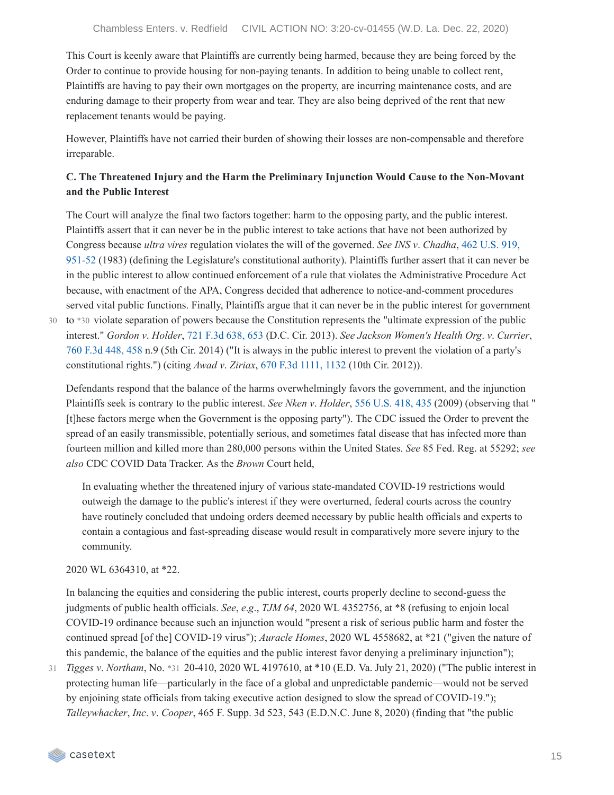This Court is keenly aware that Plaintiffs are currently being harmed, because they are being forced by the Order to continue to provide housing for non-paying tenants. In addition to being unable to collect rent, Plaintiffs are having to pay their own mortgages on the property, are incurring maintenance costs, and are enduring damage to their property from wear and tear. They are also being deprived of the rent that new replacement tenants would be paying.

However, Plaintiffs have not carried their burden of showing their losses are non-compensable and therefore irreparable.

## **C. The Threatened Injury and the Harm the Preliminary Injunction Would Cause to the Non-Movant and the Public Interest**

The Court will analyze the final two factors together: harm to the opposing party, and the public interest. Plaintiffs assert that it can never be in the public interest to take actions that have not been authorized by Congress because *ultra vires* regulation violates the will of the governed. *See INS v*. *Chadha*, 462 U.S. 919, 951-52 (1983) (defining the Legislature's [constitutional](https://casetext.com/case/immigration-and-naturalization-service-v-chadha-united-states-house-of-representatives-v-immigration-and-naturalization-service-united-states-senate-v-immigration-and-naturalization-service#p951) authority). Plaintiffs further assert that it can never be in the public interest to allow continued enforcement of a rule that violates the Administrative Procedure Act because, with enactment of the APA, Congress decided that adherence to notice-and-comment procedures served vital public functions. Finally, Plaintiffs argue that it can never be in the public interest for government

to \*30 violate separation of powers because the Constitution represents the "ultimate expression of the public 30 interest." *Gordon v*. *Holder*, 721 F.3d [638,](https://casetext.com/case/gordon-v-holder-6#p653) 653 (D.C. Cir. 2013). *See Jackson Women's Health Org*. *v*. *Currier*, 760 F.3d [448,](https://casetext.com/case/jackson-womens-health-org-v-currier-3#p458) 458 n.9 (5th Cir. 2014) ("It is always in the public interest to prevent the violation of a party's constitutional rights.") (citing *Awad v*. *Ziriax*, 670 F.3d [1111,](https://casetext.com/case/awad-v-ziriax#p1132) 1132 (10th Cir. 2012)).

Defendants respond that the balance of the harms overwhelmingly favors the government, and the injunction Plaintiffs seek is contrary to the public interest. *See Nken v*. *Holder*, 556 [U.S.](https://casetext.com/case/nken-v-holder-4#p435) 418, 435 (2009) (observing that " [t]hese factors merge when the Government is the opposing party"). The CDC issued the Order to prevent the spread of an easily transmissible, potentially serious, and sometimes fatal disease that has infected more than fourteen million and killed more than 280,000 persons within the United States. *See* 85 Fed. Reg. at 55292; *see also* CDC COVID Data Tracker. As the *Brown* Court held,

In evaluating whether the threatened injury of various state-mandated COVID-19 restrictions would outweigh the damage to the public's interest if they were overturned, federal courts across the country have routinely concluded that undoing orders deemed necessary by public health officials and experts to contain a contagious and fast-spreading disease would result in comparatively more severe injury to the community.

2020 WL 6364310, at \*22.

In balancing the equities and considering the public interest, courts properly decline to second-guess the judgments of public health officials. *See*, *e*.*g*., *TJM 64*, 2020 WL 4352756, at \*8 (refusing to enjoin local COVID-19 ordinance because such an injunction would "present a risk of serious public harm and foster the continued spread [of the] COVID-19 virus"); *Auracle Homes*, 2020 WL 4558682, at \*21 ("given the nature of this pandemic, the balance of the equities and the public interest favor denying a preliminary injunction");

*Tigges v*. *Northam*, No. \*31 20-410, 2020 WL 4197610, at \*10 (E.D. Va. July 21, 2020) ("The public interest in 31 protecting human life—particularly in the face of a global and unpredictable pandemic—would not be served by enjoining state officials from taking executive action designed to slow the spread of COVID-19."); *Talleywhacker*, *Inc*. *v*. *Cooper*, 465 F. Supp. 3d 523, 543 (E.D.N.C. June 8, 2020) (finding that "the public